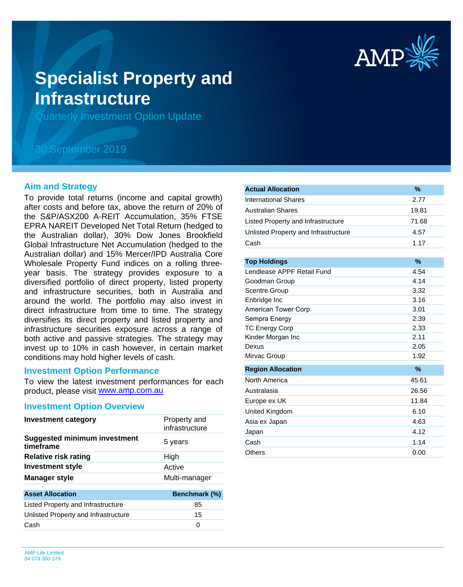

# **Specialist Property and Infrastructure**

Quarterly Investment Option Update

## 30 September 2019

#### **Aim and Strategy**

To provide total returns (income and capital growth) after costs and before tax, above the return of 20% of the S&P/ASX200 A-REIT Accumulation, 35% FTSE EPRA NAREIT Developed Net Total Return (hedged to the Australian dollar), 30% Dow Jones Brookfield Global Infrastructure Net Accumulation (hedged to the Australian dollar) and 15% Mercer/IPD Australia Core Wholesale Property Fund indices on a rolling threeyear basis. The strategy provides exposure to a diversified portfolio of direct property, listed property and infrastructure securities, both in Australia and around the world. The portfolio may also invest in direct infrastructure from time to time. The strategy diversifies its direct property and listed property and infrastructure securities exposure across a range of both active and passive strategies. The strategy may invest up to 10% in cash however, in certain market conditions may hold higher levels of cash.

#### **Investment Option Performance**

product, please visit [www.amp.com.au](https://www.amp.com.au) To view the latest investment performances for each

#### **Investment Option Overview**

| Investment category                              | Property and<br>infrastructure |
|--------------------------------------------------|--------------------------------|
| <b>Suggested minimum investment</b><br>timeframe | 5 years                        |
| <b>Relative risk rating</b>                      | High                           |
| <b>Investment style</b>                          | Active                         |
| <b>Manager style</b>                             | Multi-manager                  |
| <b>Asset Allocation</b>                          | Benchmark (%)                  |
| Listed Property and Infrastructure               | 85                             |
| Unlisted Property and Infrastructure             | 15                             |
| Cash                                             | 0                              |
|                                                  |                                |

| <b>Actual Allocation</b>             | $\%$  |
|--------------------------------------|-------|
| <b>International Shares</b>          | 2.77  |
| <b>Australian Shares</b>             | 19.81 |
| Listed Property and Infrastructure   | 71.68 |
| Unlisted Property and Infrastructure | 4.57  |
| Cash                                 | 1.17  |
|                                      |       |
| <b>Top Holdings</b>                  | $\%$  |
| Lendlease APPF Retail Fund           | 4.54  |
| Goodman Group                        | 4.14  |
| Scentre Group                        | 3.32  |
| Enbridge Inc                         | 3.16  |
| <b>American Tower Corp</b>           | 3.01  |
| Sempra Energy                        | 2.39  |
| <b>TC Energy Corp</b>                | 2.33  |
| Kinder Morgan Inc                    | 2.11  |
| Dexus                                | 2.05  |
| Mirvac Group                         | 1.92  |
| <b>Region Allocation</b>             | $\%$  |
| North America                        | 45.61 |
| Australasia                          | 26.56 |
| Europe ex UK                         | 11.84 |
| United Kingdom                       | 6.10  |
| Asia ex Japan                        | 4.63  |
| Japan                                | 4.12  |
| Cash                                 | 1.14  |
| Others                               | 0.00  |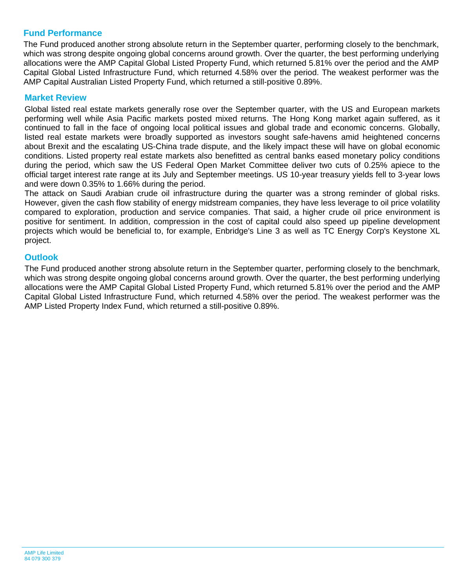## **Fund Performance**

The Fund produced another strong absolute return in the September quarter, performing closely to the benchmark, which was strong despite ongoing global concerns around growth. Over the quarter, the best performing underlying allocations were the AMP Capital Global Listed Property Fund, which returned 5.81% over the period and the AMP Capital Global Listed Infrastructure Fund, which returned 4.58% over the period. The weakest performer was the AMP Capital Australian Listed Property Fund, which returned a still-positive 0.89%.

### **Market Review**

Global listed real estate markets generally rose over the September quarter, with the US and European markets performing well while Asia Pacific markets posted mixed returns. The Hong Kong market again suffered, as it continued to fall in the face of ongoing local political issues and global trade and economic concerns. Globally, listed real estate markets were broadly supported as investors sought safe-havens amid heightened concerns about Brexit and the escalating US-China trade dispute, and the likely impact these will have on global economic conditions. Listed property real estate markets also benefitted as central banks eased monetary policy conditions during the period, which saw the US Federal Open Market Committee deliver two cuts of 0.25% apiece to the official target interest rate range at its July and September meetings. US 10-year treasury yields fell to 3-year lows and were down 0.35% to 1.66% during the period.

The attack on Saudi Arabian crude oil infrastructure during the quarter was a strong reminder of global risks. However, given the cash flow stability of energy midstream companies, they have less leverage to oil price volatility compared to exploration, production and service companies. That said, a higher crude oil price environment is positive for sentiment. In addition, compression in the cost of capital could also speed up pipeline development projects which would be beneficial to, for example, Enbridge's Line 3 as well as TC Energy Corp's Keystone XL project.

#### **Outlook**

The Fund produced another strong absolute return in the September quarter, performing closely to the benchmark, which was strong despite ongoing global concerns around growth. Over the quarter, the best performing underlying allocations were the AMP Capital Global Listed Property Fund, which returned 5.81% over the period and the AMP Capital Global Listed Infrastructure Fund, which returned 4.58% over the period. The weakest performer was the AMP Listed Property Index Fund, which returned a still-positive 0.89%.